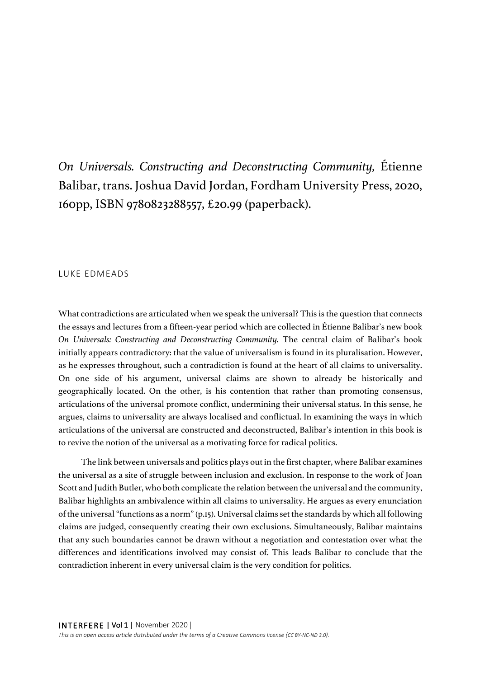*On Universals. Constructing and Deconstructing Community,* Étienne Balibar, trans. Joshua David Jordan, Fordham University Press, 2020, 160pp, ISBN 9780823288557, £20.99 (paperback).

## LUKE EDMEADS

What contradictions are articulated when we speak the universal? This is the question that connects the essays and lectures from a fifteen-year period which are collected in Étienne Balibar's new book *On Universals: Constructing and Deconstructing Community.* The central claim of Balibar's book initially appears contradictory: that the value of universalism is found in its pluralisation. However, as he expresses throughout, such a contradiction is found at the heart of all claims to universality. On one side of his argument, universal claims are shown to already be historically and geographically located. On the other, is his contention that rather than promoting consensus, articulations of the universal promote conflict, undermining their universal status. In this sense, he argues, claims to universality are always localised and conflictual. In examining the ways in which articulations of the universal are constructed and deconstructed, Balibar's intention in this book is to revive the notion of the universal as a motivating force for radical politics.

The link between universals and politics plays out in the first chapter, where Balibar examines the universal as a site of struggle between inclusion and exclusion. In response to the work of Joan Scott and Judith Butler, who both complicate the relation between the universal and the community, Balibar highlights an ambivalence within all claims to universality. He argues as every enunciation of the universal "functions as a norm" (p.15). Universal claims set the standards by which all following claims are judged, consequently creating their own exclusions. Simultaneously, Balibar maintains that any such boundaries cannot be drawn without a negotiation and contestation over what the differences and identifications involved may consist of. This leads Balibar to conclude that the contradiction inherent in every universal claim is the very condition for politics.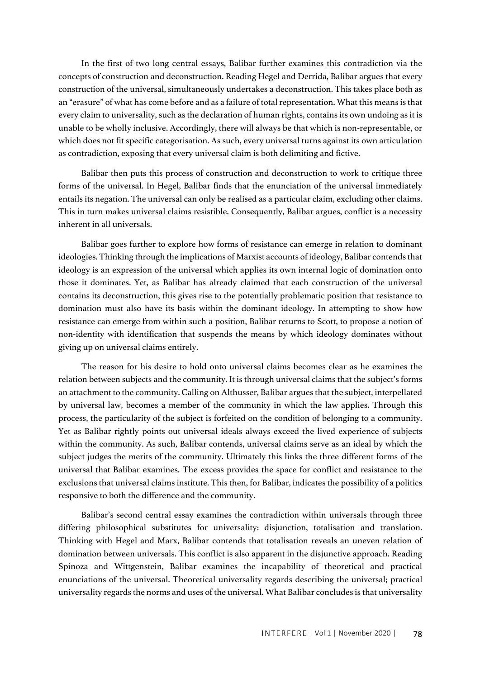In the first of two long central essays, Balibar further examines this contradiction via the concepts of construction and deconstruction. Reading Hegel and Derrida, Balibar argues that every construction of the universal, simultaneously undertakes a deconstruction. This takes place both as an "erasure" of what has come before and as a failure of total representation. What this means is that every claim to universality, such as the declaration of human rights, contains its own undoing as it is unable to be wholly inclusive. Accordingly, there will always be that which is non-representable, or which does not fit specific categorisation. As such, every universal turns against its own articulation as contradiction, exposing that every universal claim is both delimiting and fictive.

Balibar then puts this process of construction and deconstruction to work to critique three forms of the universal. In Hegel, Balibar finds that the enunciation of the universal immediately entails its negation. The universal can only be realised as a particular claim, excluding other claims. This in turn makes universal claims resistible. Consequently, Balibar argues, conflict is a necessity inherent in all universals.

Balibar goes further to explore how forms of resistance can emerge in relation to dominant ideologies. Thinking through the implications of Marxist accounts of ideology, Balibar contends that ideology is an expression of the universal which applies its own internal logic of domination onto those it dominates. Yet, as Balibar has already claimed that each construction of the universal contains its deconstruction, this gives rise to the potentially problematic position that resistance to domination must also have its basis within the dominant ideology. In attempting to show how resistance can emerge from within such a position, Balibar returns to Scott, to propose a notion of non-identity with identification that suspends the means by which ideology dominates without giving up on universal claims entirely.

The reason for his desire to hold onto universal claims becomes clear as he examines the relation between subjects and the community. It is through universal claims that the subject's forms an attachment to the community. Calling on Althusser, Balibar argues that the subject, interpellated by universal law, becomes a member of the community in which the law applies. Through this process, the particularity of the subject is forfeited on the condition of belonging to a community. Yet as Balibar rightly points out universal ideals always exceed the lived experience of subjects within the community. As such, Balibar contends, universal claims serve as an ideal by which the subject judges the merits of the community. Ultimately this links the three different forms of the universal that Balibar examines. The excess provides the space for conflict and resistance to the exclusions that universal claims institute. This then, for Balibar, indicates the possibility of a politics responsive to both the difference and the community.

Balibar's second central essay examines the contradiction within universals through three differing philosophical substitutes for universality: disjunction, totalisation and translation. Thinking with Hegel and Marx, Balibar contends that totalisation reveals an uneven relation of domination between universals. This conflict is also apparent in the disjunctive approach. Reading Spinoza and Wittgenstein, Balibar examines the incapability of theoretical and practical enunciations of the universal. Theoretical universality regards describing the universal; practical universality regards the norms and uses of the universal. What Balibar concludes is that universality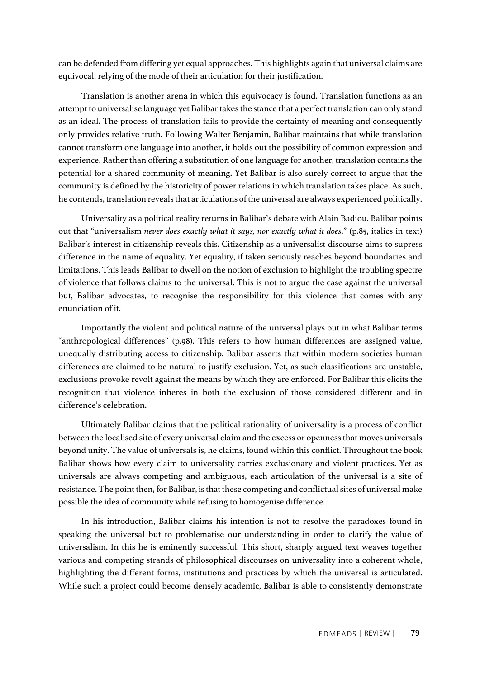can be defended from differing yet equal approaches. This highlights again that universal claims are equivocal, relying of the mode of their articulation for their justification.

Translation is another arena in which this equivocacy is found. Translation functions as an attempt to universalise language yet Balibar takes the stance that a perfect translation can only stand as an ideal. The process of translation fails to provide the certainty of meaning and consequently only provides relative truth. Following Walter Benjamin, Balibar maintains that while translation cannot transform one language into another, it holds out the possibility of common expression and experience. Rather than offering a substitution of one language for another, translation contains the potential for a shared community of meaning. Yet Balibar is also surely correct to argue that the community is defined by the historicity of power relations in which translation takes place. As such, he contends, translation reveals that articulations of the universal are always experienced politically.

Universality as a political reality returns in Balibar's debate with Alain Badiou. Balibar points out that "universalism *never does exactly what it says, nor exactly what it does*." (p.85, italics in text) Balibar's interest in citizenship reveals this. Citizenship as a universalist discourse aims to supress difference in the name of equality. Yet equality, if taken seriously reaches beyond boundaries and limitations. This leads Balibar to dwell on the notion of exclusion to highlight the troubling spectre of violence that follows claims to the universal. This is not to argue the case against the universal but, Balibar advocates, to recognise the responsibility for this violence that comes with any enunciation of it.

Importantly the violent and political nature of the universal plays out in what Balibar terms "anthropological differences" (p.98). This refers to how human differences are assigned value, unequally distributing access to citizenship. Balibar asserts that within modern societies human differences are claimed to be natural to justify exclusion. Yet, as such classifications are unstable, exclusions provoke revolt against the means by which they are enforced. For Balibar this elicits the recognition that violence inheres in both the exclusion of those considered different and in difference's celebration.

Ultimately Balibar claims that the political rationality of universality is a process of conflict between the localised site of every universal claim and the excess or openness that moves universals beyond unity. The value of universals is, he claims, found within this conflict. Throughout the book Balibar shows how every claim to universality carries exclusionary and violent practices. Yet as universals are always competing and ambiguous, each articulation of the universal is a site of resistance. The point then, for Balibar, is that these competing and conflictual sites of universal make possible the idea of community while refusing to homogenise difference.

In his introduction, Balibar claims his intention is not to resolve the paradoxes found in speaking the universal but to problematise our understanding in order to clarify the value of universalism. In this he is eminently successful. This short, sharply argued text weaves together various and competing strands of philosophical discourses on universality into a coherent whole, highlighting the different forms, institutions and practices by which the universal is articulated. While such a project could become densely academic, Balibar is able to consistently demonstrate